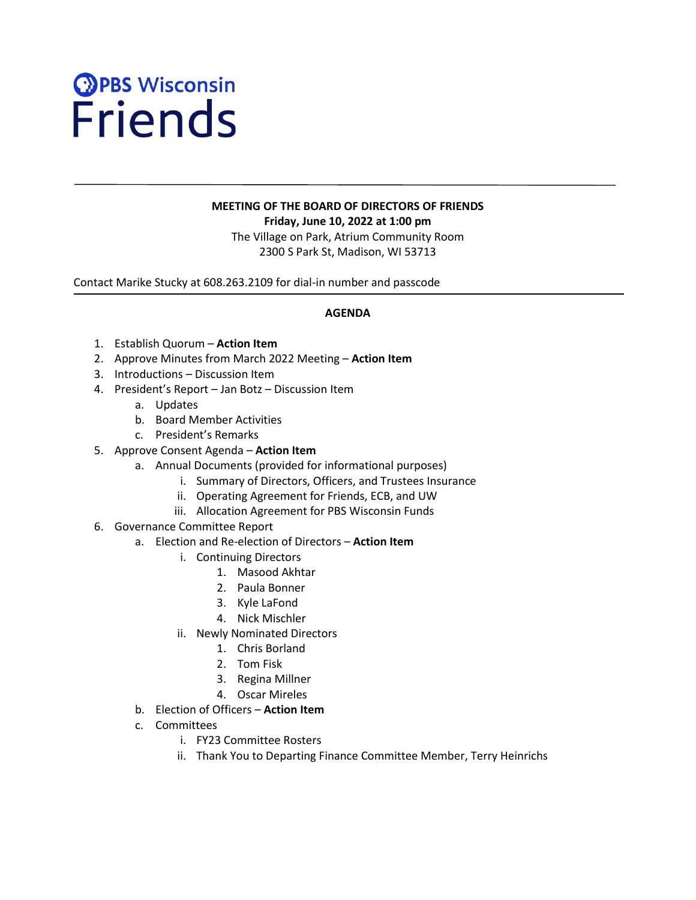# **OPBS Wisconsin**<br>Friends

# **MEETING OF THE BOARD OF DIRECTORS OF FRIENDS Friday, June 10, 2022 at 1:00 pm** The Village on Park, Atrium Community Room

2300 S Park St, Madison, WI 53713

Contact Marike Stucky at 608.263.2109 for dial-in number and passcode

## **AGENDA**

- 1. Establish Quorum **Action Item**
- 2. Approve Minutes from March 2022 Meeting **Action Item**
- 3. Introductions Discussion Item
- 4. President's Report Jan Botz Discussion Item
	- a. Updates

- b. Board Member Activities
- c. President's Remarks
- 5. Approve Consent Agenda **Action Item**
	- a. Annual Documents (provided for informational purposes)
		- i. Summary of Directors, Officers, and Trustees Insurance
		- ii. Operating Agreement for Friends, ECB, and UW
		- iii. Allocation Agreement for PBS Wisconsin Funds
- 6. Governance Committee Report

#### a. Election and Re-election of Directors – **Action Item**

- i. Continuing Directors
	- 1. Masood Akhtar
	- 2. Paula Bonner
	- 3. Kyle LaFond
	- 4. Nick Mischler
- ii. Newly Nominated Directors
	- 1. Chris Borland
	- 2. Tom Fisk
	- 3. Regina Millner
	- 4. Oscar Mireles
- b. Election of Officers **Action Item**
- c. Committees
	- i. FY23 Committee Rosters
	- ii. Thank You to Departing Finance Committee Member, Terry Heinrichs